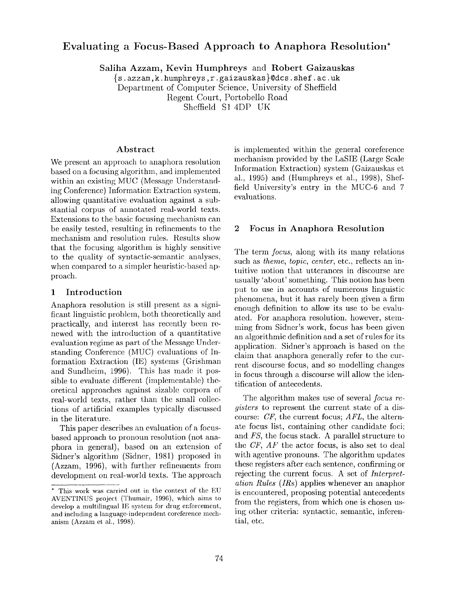# **Evaluating a Focus-Based Approach to Anaphora Resolution\***

**Saliha Azzam, Kevin Humphreys and Robert Gaizauskas** 

 $\{s \cdot azzam, k. humphreys, r.gaizauskas\}$ @dcs.shef.ac.uk Department of Computer Science, University of Sheffield Regent Court, Portobello Road Sheffield SI 4DP UK

#### **Abstract**

We present an approach to anaphora resolution based on a focusing algorithm, and implemented within an existing MUC (Message Understanding Conference) Information Extraction system, allowing quantitative evaluation against a substantial corpus of annotated real-world texts. Extensions to the basic focusing mechanism can be easily tested, resulting in refinements to the mechanism and resolution rules. Results show that the focusing algorithm is highly sensitive to the quality of syntactic-semantic analyses, when compared to a simpler heuristic-based approach.

#### 1 Introduction

Anaphora resolution is still present as a significant linguistic problem, both theoretically and practically, and interest has recently been renewed with the introduction of a quantitative evaluation regime as part of the Message Understanding Conference MUC) evaluations of Information Extraction (IE) systems (Grishman and Sundheim, 1996). This has made it possible to evaluate different (implementable) theoretical approaches against sizable corpora of real-world texts, rather than the small collections of artificial examples typically discussed in the literature.

This paper describes an evaluation of a focusbased approach to pronoun resolution (not anaphora in general), based on an extension of Sidner's algorithm (Sidner, 1981) proposed in (Azzam, 1996), with further refinements from development on real-world texts. The approach

is implemented within the general coreference mechanism provided by the LaSIE (Large Scale Information Extraction) system (Gaizauskas et al., 1995) and (Humphreys et al., 1998), Sheffield University's entry in the MUC-6 and 7 evaluations.

### **2 Focus in Anaphora Resolution**

The term *focus,* along with its many relations such as *theme, topic, center, etc., reflects* an intuitive notion that utterances in discourse are usually 'about' something. This notion has been put to use in accounts of numerous linguistic phenomena, but it has rarely been given a firm enough definition to allow its use to be evaluated. For anaphora resolution, however, stemming from Sidner's work, focus has been given an algorithmic definition and a set of rules for its application. Sidner's approach is based on the claim that anaphora generally refer to the current discourse focus, and so modelling changes in focus through a discourse will allow the identification of antecedents.

The algorithm makes use of several *focus registers* to represent the current state of a discourse: *CF,* the current focus; *AFL,* the alternate focus list, containing other candidate foci; *and FS,* the focus stack. A parallel structure to the *CF, AF* the actor focus, is also set to deal with agentive pronouns. The algorithm updates these registers after each sentence, confirming or rejecting the current focus. A set of *Interpretation Rules* (IRs) applies whenever an anaphor is encountered, proposing potential antecedents from the registers, from which one is chosen using other criteria: syntactic, semantic, inferential, etc.

<sup>\*</sup> This work was carried out in the context of the EU AVENTINUS project (Thumair, 1996), which aims to develop a multilingual IE system for drug enforcement, and including a language-independent coreference mechanism (Azzam et al., 1998).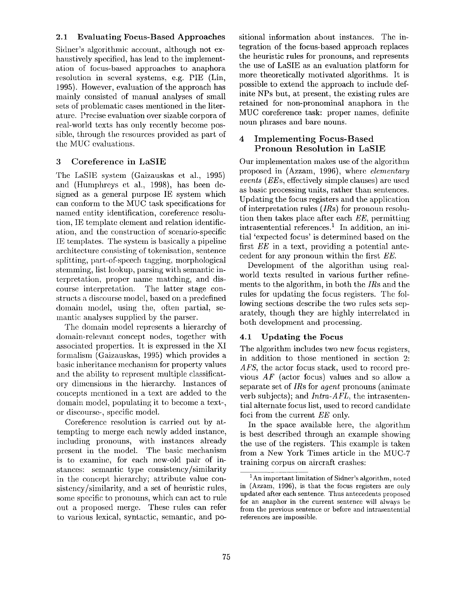## **2.1 Evaluating Focus-Based Approaches**

Sidner's algorithmic account, although not exhaustively specified, has lead to the implementation of fbcus-based approaches to anaphora resolution in several systems, e.g. PIE (Lin, 1995). However, evaluation of the approach has mainly consisted of manual analyses of small sets of problematic cases mentioned in the literature. Precise evaluation over sizable corpora of real-world texts has only recently become possible, through the resources provided as part of the MUC evaluations.

## 3 Coreference in LaSIE

The LaSIE system (Gaizauskas et al., 1995) and (Humphreys et al., 1998), has been designed as a general purpose IE system which can conform to the MUC task specifications for named entity identification, coreference resolution, IE template clement and relation identification, and the construction of scenario-specific IE templates. The system is basically a pipeline architecture consisting of tokenisation, sentence splitting, part-of-speech tagging, morphological stemming, list lookup, parsing with semantic interpretation, proper name matching, and discourse interpretation. The latter stage constructs a discourse model, based on a predefined domain model, using the, often partial, semantic analyses supplied by the parser.

The domain model represents a hierarchy of domain-relevant concept nodes, together with associated properties. It is expressed in the XI formalism (Gaizauskas, 1995) which provides a basic inheritance mechanism for property values and the ability to represent multiple classificatory dimensions in the hierarchy. Instances of concepts mentioned in a text are added to the domain model, populating it to become a text-, or discourse-, specific model.

Coreference resolution is carried out by attempting to merge each newly added instance, including pronouns, with instances already present in the model. The basic mechanism is to examinc, for each new-old pair of instances: semantic type consistency/similarity in the concept hierarchy; attribute value consistency/similarity, and a set of heuristic rules, some specific to pronouns, which can act to rule out a proposed merge. These rules can refer to various lexical, syntactic, semantic, and positional information about instances. The integration of the focus-based approach replaces the heuristic rules for pronouns, and represents the use of LaSIE as an evaluation platform for more theoretically motivated algorithms. It is possible to extend the approach to include definite NPs but, at present, the existing rules are retained for non-pronominal anaphora in the MUC coreference task: proper names, definite noun phrases and bare nouns.

## 4 Implementing **Focus-Based Pronoun Resolution in** LaSIE

Our implementation makes use of the algorithm proposed in (Azzam, 1996), where *elementary events (EEs,* effectively simple clauses) are used as basic processing units, rather than sentences. Updating the focus registers and the application of interpretation rules (IRs) for pronoun resolution then takes place after each *EE,* permitting intrasentential references.<sup>1</sup> In addition, an initial 'expected focus' is determined based on the first *EE* in a text, providing a potential antecedent for any pronoun within the first *EE.* 

Development of the algorithm using realworld texts resulted in various further refinements to the algorithm, in both the *IRs* and the rules for updating the focus registers. The following sections describe the two rules sets separately, though they are highly interrelated in both development and processing.

## **4.1 Updating the Focus**

The algorithm includes two new focus registers, in addition to those mentioned in section 2: *AFS*, the actor focus stack, used to record previous *AF* (actor focus) values and so allow a separate set of *IRs* for *agent* pronouns (animate verb subjects); and *Intra-AFL,* the intrasentential alternate focus list, used to record candidate foci from the current *EE* only.

In the space available here, the algorithm is best described through an example showing the use of the registers. This example is taken from a New York Times article in the MUC-7 training corpus on aircraft crashes:

<sup>1</sup> An important limitation of Sidner's algorithm, noted in (Azzam, 1996), is that the focus registers are only updated after each sentence. Thus antecedents proposed for an anaphor in the current sentence will always be from the previous sentence or before and intrasentential references are impossible.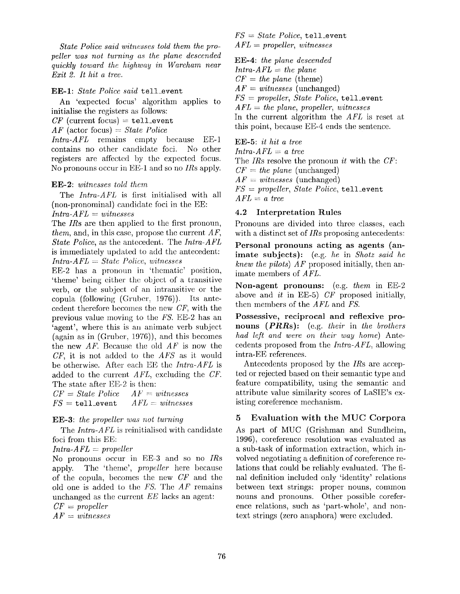*State Police said witnesses told them the propeller was not turning as the plane descended quickly toward the highway in Wareham near Exit 2. It hit a tree.* 

**EE-I:** *State Police said* tell\_event

An 'expected focus' algorithm applies to **initialise** the registers as follows:

 $CF$  (current focus) = tell\_event

*AF* (actor focus) = *State Police* 

*Intra-AFL* remains empty because EE-1 contains no other candidate foci. No other registers are affected by the expected focus. No pronouns occur in EE~I and so no *IRs* apply.

#### **EE-2:** *witnesses told them*

The *Intra-AFL* is first initialised with **all**  (non-pronominal) candidate foci in the EE: *Intra-AFL = witnesses* 

The *IRs* are then applied to the first pronoun, *them,* and, in this case, propose the current *AF, State Police,* as the antecedent. The *Intra-AFL*  is immediately updated to add the antecedent: *Intra-AFL = State Police, witnesses* 

EE-2 has a pronoun in 'thematic' position, 'theme' being either the object of a transitive verb, or the subject of an intransitive or the copula (following (Gruber, 1976)). Its antecedent therefore becomes the new CF, with the previous value moving to the *FS.* EE-2 has an 'agent', where this is an animate verb subject (again as in (Gruber, 1976)), and this becomes the new *AF.* Because the old *AF* is now the *CF,* it is not added to the *AFS* as it would be otherwise. After each EE the *Intra-AFL* is added to the current *AFL,* excluding the *CF.*  The state after EE-2 is then:

 $CF = State \, Police \, At = witnesses$  $FS = \text{tell-event}$   $AFL = \text{witnesses}$ 

#### **EE-3:** *the propeller was not turning*

The *Intra-AFL* is reinitialised with candidate foci from this EE:

#### *Intra-AFL = propeller*

No pronouns occur in EE-3 and so no *IRs*  apply. The 'theme', *propeller* here because of the copula, becomes the new *CF* and the old one is added to the FS. The *AF* remains unchanged as the current *EE* lacks an agent: *CF = propeller* 

*AF = witnesses* 

*FS = State Police,* tell\_event *AFL = propeller, witnesses* 

**EE-4:** *the plane descended lntra-AFL = the plane*   $CF = the plane$  (theme)  $AF = \textit{witnesses}$  (unchanged) *FS = propeller, State Police,* tell\_event *AFL = the plane, propeller, witnesses*  In the current algorithm the *AFL* is reset at this point, because EE-4 ends the sentence.

**EE-5**: *it hit a tree Intra-AFL = a tree*  The *IRs* resolve the pronoun *it* with the *CF:*   $CF = the$  plane (unchanged) *AF = witnesses* (unchanged) *FS = propeller, State Police,* tell\_event *AFL = a tree* 

#### **4.2 Interpretation Rules**

Pronouns are divided into three classes, each with a distinct set of *IRs* proposing antecedents:

**Personal pronouns acting as agents (animate subjects):** (e.g. *he* in *Shotz said he knew the pilots) AF* proposed initially, then animate members of *AFL.* 

**Non-agent pronouns:** (e.g. *them* in EE-2 above and *it* in EE-5) CF proposed initially, then members of the *AFL* and *FS*.

Possessive, reciprocal and reflexive pronouns *(PRRs):* (e.g. *their* in *the brothers had left and were on their way home)* Antecedents proposed from the *Intra-AFL*, allowing intra-EE references.

Antecedents proposed by the *IRs* are accepted or rejected based on their semantic type and feature compatibility, using the semantic and attribute value similarity scores of LaSIE's existing coreference mechanism.

### 5 Evaluation with the MUC Corpora

As part of MUC (Grishman and Sundheim, 1996), coreferencc resolution was evaluated as a sub-task of information extraction, which involved negotiating a definition of coreference relations that could be reliably evaluated. The final definition included only 'identity' relations between text strings: proper nouns, common nouns and pronouns. Other possible coreference relations, such as 'part-whole', and nontext strings (zero anaphora) were excluded.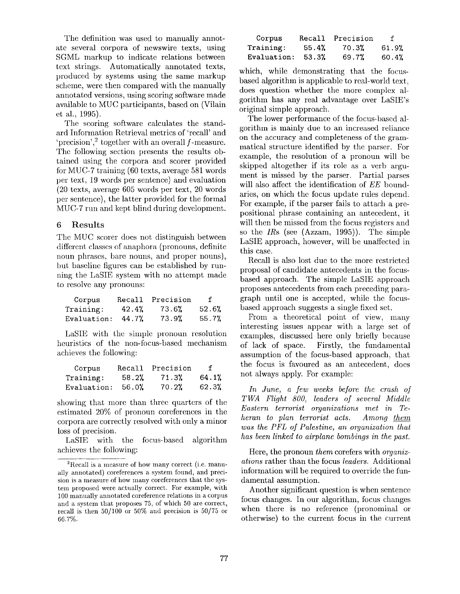The definition was used to manually annotate several corpora of newswire texts, using SGML markup to indicate relations between text strings. Automatically annotated texts, produced by systems using the same markup scheme, wcrc then compared with the manually annotated versions, using scoring software made available to MUC participants, based on (Vilain et al., 1995).

The scoring software calculates the standard Information Retrieval metrics of 'recall' and 'precision',  $\frac{2}{7}$  together with an overall f-measure. The following section presents the results obtained using the corpora and scorer provided for MUC-7 training (60 texts, average 581 words per text, 19 words per sentence) and evaluation (20 texts, average 605 words per text, 20 words per sentence), the latter provided for the formal MUC-7 run and kept blind during development.

### 6 Results

The MUC scorer does not distinguish between different classes of anaphora (pronouns, definite noun phrases, bare nouns, and proper nouns), but baseline figures can be established by running the LaSIE system with no attempt made to resolve any pronouns:

| Corpus      | Recall | Precision | $\mathbf f$ |
|-------------|--------|-----------|-------------|
| Training:   | 42.4%  | 73.6%     | 52.6%       |
| Evaluation: | 44.7%  | 73.9%     | 55.7%       |

LaSIE with the simple pronoun resolution heuristics of the non-focus-based mechanism achieves the following:

| Corpus      | Recall | Precision | f     |
|-------------|--------|-----------|-------|
| Training:   | 58.2%  | 71.3%     | 64.1% |
| Evaluation: | 56.0%  | 70.2%     | 62.3% |

showing that more than three quarters of the estimated 20% of pronoun coreferences in the corpora are correctly resolved with only a minor loss of precision.

LaSIE with the focus-based algorithm achieves the following:

| Corpus      | Recall | Precision | f     |
|-------------|--------|-----------|-------|
| Training:   | 55.4%  | 70.3%     | 61.9% |
| Evaluation: | 53.3%  | 69.7%     | 60.4% |

which, while demonstrating that the focusbased algorithm is applicable to real-world text, does question whether the more complex algorithm has any real advantage over LaSIE's original simple approach.

The lower performance of the focus-based algorithm is mainly due to an increased reliance on the accuracy and completeness of the grammatical structure identified by the parser. For example, the resolution of a pronoun will be skipped altogether if its role as a verb argument is missed by the parser. Partial parses will also affect the identification of *EE* boundaries, on which the focus update rules depend. For example, if the parser fails to attach a prepositional phrase containing an antecedent, it will then be missed from the focus registers and so the *IRs* (see (Azzam, 1995)). The simple LaSIE approach, however, will be unaffected in this case.

Recall is also lost due to the more restricted proposal of candidate antecedents in the focusbased approach. The simple LaSIE approach proposes antecedents from each preceding paragraph until one is accepted, while the focusbased approach suggests a single fixed set.

From a theoretical point of view, many interesting issues appear with a large set of examples, discussed here only briefly because of lack of space. Firstly, the fundamental assumption of the focus-based approach, that the focus is favoured as an antecedent, does not always apply. For example:

*In June, a few weeks before* the *crash of TWA Flight 800, leaders of several Middle Eastern terrorist organizations met in Teheran to plan terrorist acts. Among them was the PFL of Palestine, an organization that has been linked to airplane bombings in the past.* 

Here, the pronoun *them* corefers with *organizations* rather than the focus *leaders.* Additional information will be required to override the timdamental assumption.

Another significant question is when sentence focus changes. In our algorithm, focus changes when there is no reference (pronominal or otherwise) to the current focus in the current

 ${}^{2}$ Recall is a measure of how many correct (i.e. manually annotated) coreferences a system found, and precision is a measure of how many coreferenccs that the system proposed were actually correct. For example, with 100 manually annotated coreference relations in a corpus and a system that proposes 75, of which 50 are correct, recall is then 50/100 or 50% and precision is 50/75 or 66.7%.